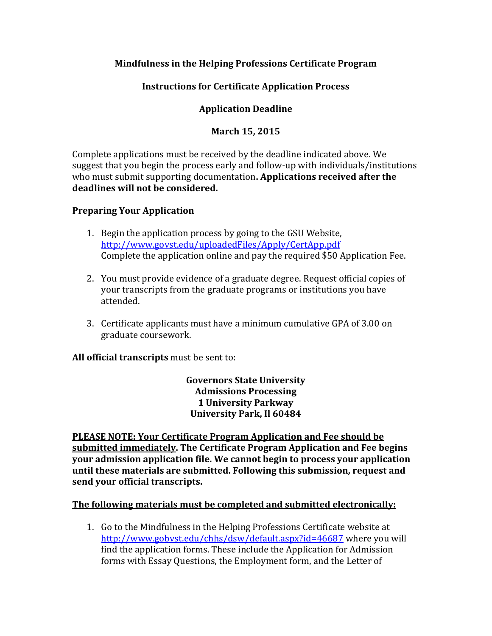# **Mindfulness in the Helping Professions Certificate Program**

# **Instructions for Certificate Application Process**

# **Application Deadline**

## **March 15, 2015**

Complete applications must be received by the deadline indicated above. We suggest that you begin the process early and follow-up with individuals/institutions who must submit supporting documentation**. Applications received after the deadlines will not be considered.**

### **Preparing Your Application**

- 1. Begin the application process by going to the GSU Website, <http://www.govst.edu/uploadedFiles/Apply/CertApp.pdf> Complete the application online and pay the required \$50 Application Fee.
- 2. You must provide evidence of a graduate degree. Request official copies of your transcripts from the graduate programs or institutions you have attended.
- 3. Certificate applicants must have a minimum cumulative GPA of 3.00 on graduate coursework.

**All official transcripts** must be sent to:

**Governors State University Admissions Processing 1 University Parkway University Park, Il 60484**

**PLEASE NOTE: Your Certificate Program Application and Fee should be submitted immediately. The Certificate Program Application and Fee begins your admission application file. We cannot begin to process your application until these materials are submitted. Following this submission, request and send your official transcripts.**

#### **The following materials must be completed and submitted electronically:**

1. Go to the Mindfulness in the Helping Professions Certificate website at <http://www.gobvst.edu/chhs/dsw/default.aspx?id=46687> where you will find the application forms. These include the Application for Admission forms with Essay Questions, the Employment form, and the Letter of